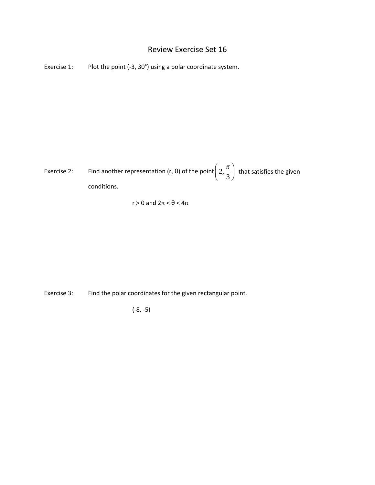## Review Exercise Set 16

Exercise 1: Plot the point (-3, 30°) using a polar coordinate system.

Exercise 2: Find another representation (r,  $\theta$ ) of the point $\left(2,\frac{\pi}{3}\right)$  that satisfies the given conditions.

 $r > 0$  and  $2\pi < \theta < 4\pi$ 

Exercise 3: Find the polar coordinates for the given rectangular point.

(-8, -5)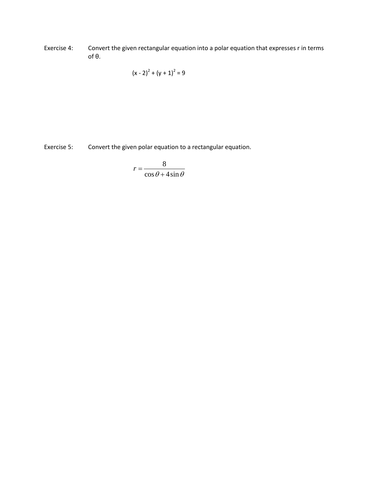Exercise 4: Convert the given rectangular equation into a polar equation that expresses r in terms of θ.

$$
(x-2)^2 + (y + 1)^2 = 9
$$

Exercise 5: Convert the given polar equation to a rectangular equation.

$$
r = \frac{8}{\cos\theta + 4\sin\theta}
$$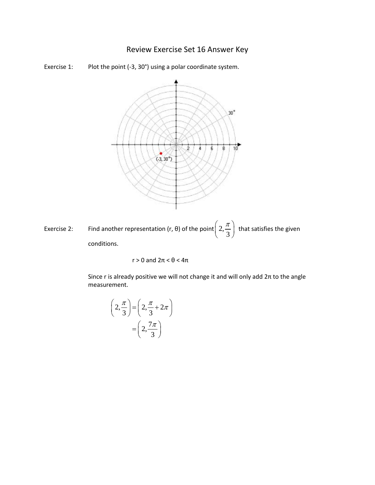## Review Exercise Set 16 Answer Key





Exercise 2: Find another representation (r,  $\theta$ ) of the point $\left(2,\frac{\pi}{3}\right)$  that satisfies the given conditions.

$$
r > 0
$$
 and  $2\pi < \theta < 4\pi$ 

Since r is already positive we will not change it and will only add  $2\pi$  to the angle measurement.

$$
\left(2, \frac{\pi}{3}\right) = \left(2, \frac{\pi}{3} + 2\pi\right)
$$

$$
= \left(2, \frac{7\pi}{3}\right)
$$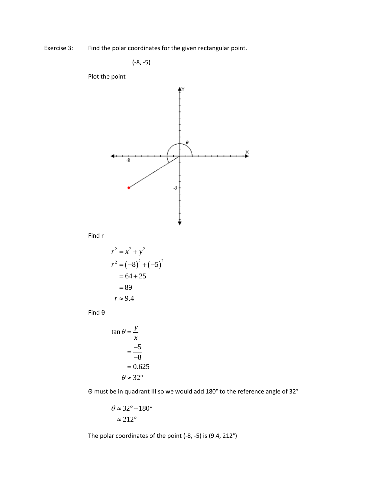Exercise 3: Find the polar coordinates for the given rectangular point.

$$
(-8, -5)
$$

Plot the point



Find r

$$
r^{2} = x^{2} + y^{2}
$$
  
\n
$$
r^{2} = (-8)^{2} + (-5)^{2}
$$
  
\n
$$
= 64 + 25
$$
  
\n
$$
= 89
$$
  
\n
$$
r \approx 9.4
$$

Find θ

$$
\tan \theta = \frac{y}{x}
$$

$$
= \frac{-5}{-8}
$$

$$
= 0.625
$$

$$
\theta \approx 32^{\circ}
$$

Θ must be in quadrant III so we would add 180° to the reference angle of 32°

$$
\theta \approx 32^{\circ} + 180^{\circ}
$$

$$
\approx 212^{\circ}
$$

The polar coordinates of the point (-8, -5) is (9.4, 212°)